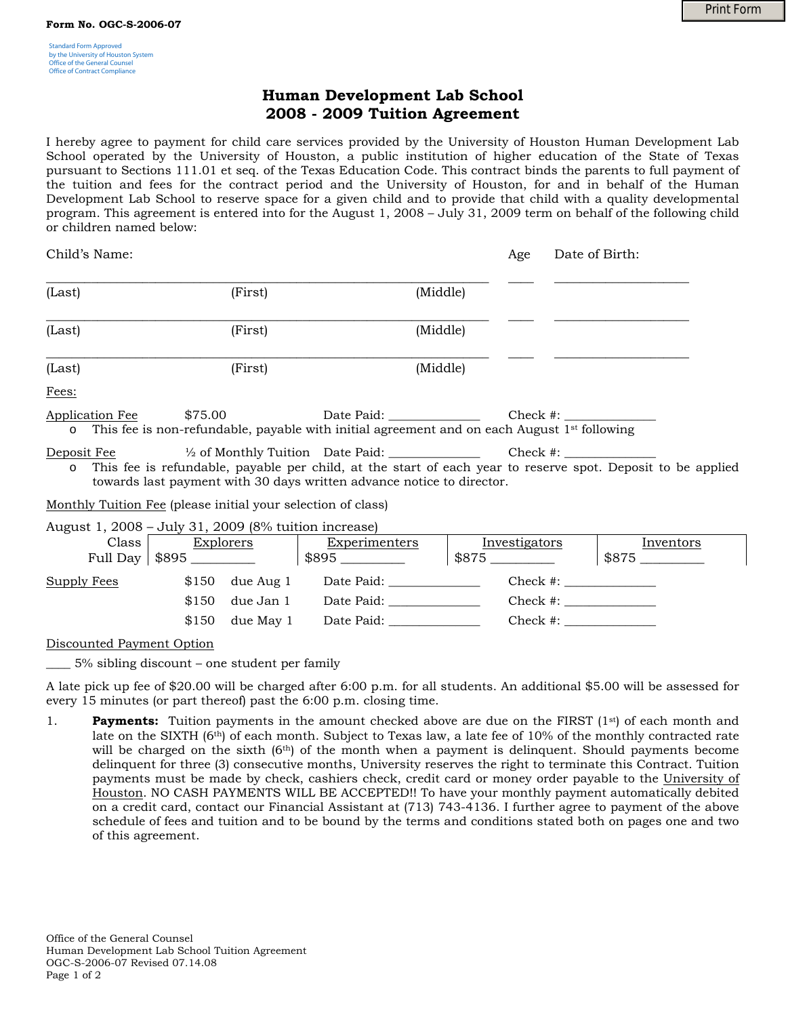## **Human Development Lab School 2008 - 2009 Tuition Agreement**

I hereby agree to payment for child care services provided by the University of Houston Human Development Lab School operated by the University of Houston, a public institution of higher education of the State of Texas pursuant to Sections 111.01 et seq. of the Texas Education Code. This contract binds the parents to full payment of the tuition and fees for the contract period and the University of Houston, for and in behalf of the Human Development Lab School to reserve space for a given child and to provide that child with a quality developmental program. This agreement is entered into for the August 1, 2008 – July 31, 2009 term on behalf of the following child or children named below:

| Child's Name:              |                                                                                                                    |            | Age               | Date of Birth: |
|----------------------------|--------------------------------------------------------------------------------------------------------------------|------------|-------------------|----------------|
| (Last)                     | (First)                                                                                                            | (Middle)   |                   |                |
| (Last)                     | (First)                                                                                                            | (Middle)   |                   |                |
| (Last)                     | (First)                                                                                                            | (Middle)   |                   |                |
| Fees:                      |                                                                                                                    |            |                   |                |
| Application Fee<br>$\circ$ | \$75.00<br>This fee is non-refundable, payable with initial agreement and on each August 1 <sup>st</sup> following | Date Paid: |                   | Check #:       |
| Denosit Fee                | $\frac{1}{6}$ of Monthly Tuition Date Paid:                                                                        |            | $Cherk$ # $\cdot$ |                |

Deposit Fee ½ of Monthly Tuition Date Paid: \_\_\_\_\_\_\_\_\_\_\_\_\_\_\_ Check #: \_\_\_\_\_\_\_\_\_\_\_\_\_\_\_ This fee is refundable, payable per child, at the start of each year to reserve spot. Deposit to be applied towards last payment with 30 days written advance notice to director.

Monthly Tuition Fee (please initial your selection of class)

August 1, 2008 – July 31, 2009 (8% tuition increase)

|                    | Class | <b>Explorers</b><br>Full Day   $$895$ ___________ |                  | Experimenters<br>$$895$ _________ | Investigators<br>$$875$ $\_\_$ | Inventors |
|--------------------|-------|---------------------------------------------------|------------------|-----------------------------------|--------------------------------|-----------|
| <b>Supply Fees</b> |       |                                                   | $$150$ due Aug 1 | Date Paid:                        | $Check \#:$                    |           |
|                    |       | \$150                                             | due Jan 1        | Date Paid:                        | $Check \#:\square$             |           |
|                    |       | \$150                                             | due May 1        | Date Paid:                        | Check #:                       |           |

Discounted Payment Option

\_\_\_\_ 5% sibling discount – one student per family

A late pick up fee of \$20.00 will be charged after 6:00 p.m. for all students. An additional \$5.00 will be assessed for every 15 minutes (or part thereof) past the 6:00 p.m. closing time.

1. **Payments:** Tuition payments in the amount checked above are due on the FIRST (1<sup>st</sup>) of each month and late on the SIXTH (6<sup>th</sup>) of each month. Subject to Texas law, a late fee of 10% of the monthly contracted rate will be charged on the sixth  $(6<sup>th</sup>)$  of the month when a payment is delinquent. Should payments become delinquent for three (3) consecutive months, University reserves the right to terminate this Contract. Tuition payments must be made by check, cashiers check, credit card or money order payable to the University of Houston. NO CASH PAYMENTS WILL BE ACCEPTED!! To have your monthly payment automatically debited on a credit card, contact our Financial Assistant at (713) 743-4136. I further agree to payment of the above schedule of fees and tuition and to be bound by the terms and conditions stated both on pages one and two of this agreement.